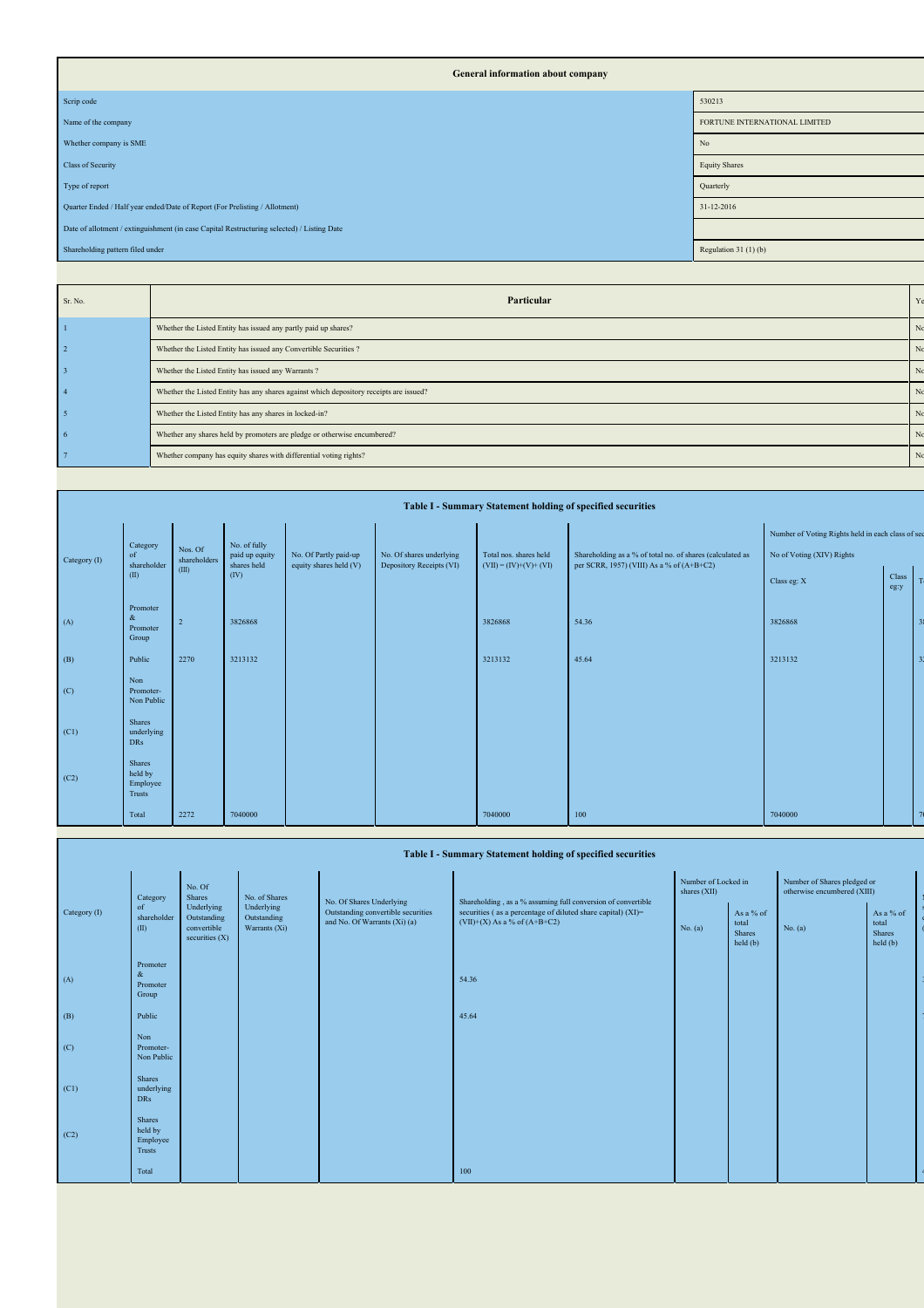| General information about company                                                          |                               |
|--------------------------------------------------------------------------------------------|-------------------------------|
| Scrip code                                                                                 | 530213                        |
| Name of the company                                                                        | FORTUNE INTERNATIONAL LIMITED |
| Whether company is SME                                                                     | No                            |
| Class of Security                                                                          | <b>Equity Shares</b>          |
| Type of report                                                                             | Quarterly                     |
| Quarter Ended / Half year ended/Date of Report (For Prelisting / Allotment)                | 31-12-2016                    |
| Date of allotment / extinguishment (in case Capital Restructuring selected) / Listing Date |                               |
| Shareholding pattern filed under                                                           | Regulation $31(1)(b)$         |

| Sr. No. | Particular                                                                             |                |
|---------|----------------------------------------------------------------------------------------|----------------|
|         | Whether the Listed Entity has issued any partly paid up shares?                        |                |
|         | Whether the Listed Entity has issued any Convertible Securities ?                      |                |
|         | Whether the Listed Entity has issued any Warrants?                                     |                |
|         | Whether the Listed Entity has any shares against which depository receipts are issued? |                |
|         | Whether the Listed Entity has any shares in locked-in?                                 |                |
|         | Whether any shares held by promoters are pledge or otherwise encumbered?               |                |
|         | Whether company has equity shares with differential voting rights?                     | N <sub>c</sub> |
|         |                                                                                        |                |

|  |              | Table I - Summary Statement holding of specified securities |                         |                               |                                                 |                                                      |                                                   |                                                                                                        |                                                   |  |  |  |  |  |  |  |
|--|--------------|-------------------------------------------------------------|-------------------------|-------------------------------|-------------------------------------------------|------------------------------------------------------|---------------------------------------------------|--------------------------------------------------------------------------------------------------------|---------------------------------------------------|--|--|--|--|--|--|--|
|  |              | Category                                                    |                         | No. of fully                  |                                                 |                                                      |                                                   |                                                                                                        | Number of Voting Rights held in each class of sec |  |  |  |  |  |  |  |
|  | Category (I) | of<br>shareholder                                           | Nos. Of<br>shareholders | paid up equity<br>shares held | No. Of Partly paid-up<br>equity shares held (V) | No. Of shares underlying<br>Depository Receipts (VI) | Total nos. shares held<br>$(VII) = (IV)+(V)+(VI)$ | Shareholding as a % of total no. of shares (calculated as<br>per SCRR, 1957) (VIII) As a % of (A+B+C2) | No of Voting (XIV) Rights                         |  |  |  |  |  |  |  |
|  | (II)         | (III)<br>(IV)                                               |                         |                               |                                                 |                                                      |                                                   | Class eg: X                                                                                            | Class<br>eg:y                                     |  |  |  |  |  |  |  |
|  | (A)          | Promoter<br>&<br>Promoter<br>Group                          | $\overline{2}$          | 3826868                       |                                                 |                                                      | 3826868                                           | 54.36                                                                                                  | 3826868                                           |  |  |  |  |  |  |  |
|  | (B)          | Public                                                      | 2270                    | 3213132                       |                                                 |                                                      | 3213132                                           | 45.64                                                                                                  | 3213132                                           |  |  |  |  |  |  |  |
|  | (C)          | Non<br>Promoter-<br>Non Public                              |                         |                               |                                                 |                                                      |                                                   |                                                                                                        |                                                   |  |  |  |  |  |  |  |
|  | (C1)         | <b>Shares</b><br>underlying<br><b>DRs</b>                   |                         |                               |                                                 |                                                      |                                                   |                                                                                                        |                                                   |  |  |  |  |  |  |  |
|  | (C2)         | Shares<br>held by<br>Employee<br>Trusts                     |                         |                               |                                                 |                                                      |                                                   |                                                                                                        |                                                   |  |  |  |  |  |  |  |
|  |              | Total                                                       | 2272                    | 7040000                       |                                                 |                                                      | 7040000                                           | 100                                                                                                    | 7040000                                           |  |  |  |  |  |  |  |

|              | Table I - Summary Statement holding of specified securities |                                                                                                            |                                                                    |                                                                                                 |                                                              |                                          |         |                                                            |  |  |  |  |  |
|--------------|-------------------------------------------------------------|------------------------------------------------------------------------------------------------------------|--------------------------------------------------------------------|-------------------------------------------------------------------------------------------------|--------------------------------------------------------------|------------------------------------------|---------|------------------------------------------------------------|--|--|--|--|--|
|              | Category                                                    | No. Of<br>Shares                                                                                           | No. of Shares                                                      | No. Of Shares Underlying                                                                        | Shareholding, as a % assuming full conversion of convertible | Number of Locked in<br>shares (XII)      |         | Number of Shares pledged or<br>otherwise encumbered (XIII) |  |  |  |  |  |
| Category (I) | of<br>shareholder<br>(II)                                   | Underlying<br>Underlying<br>Outstanding<br>Outstanding<br>convertible<br>Warrants (Xi)<br>securities $(X)$ | Outstanding convertible securities<br>and No. Of Warrants (Xi) (a) | securities (as a percentage of diluted share capital) (XI)=<br>$(VII)+(X)$ As a % of $(A+B+C2)$ | No. (a)                                                      | As a % of<br>total<br>Shares<br>held (b) | No. (a) | As a % of<br>total<br>Shares<br>held(b)                    |  |  |  |  |  |
| (A)          | Promoter<br>&<br>Promoter<br>Group                          |                                                                                                            |                                                                    |                                                                                                 | 54.36                                                        |                                          |         |                                                            |  |  |  |  |  |
| (B)          | Public                                                      |                                                                                                            |                                                                    |                                                                                                 | 45.64                                                        |                                          |         |                                                            |  |  |  |  |  |
| (C)          | Non<br>Promoter-<br>Non Public                              |                                                                                                            |                                                                    |                                                                                                 |                                                              |                                          |         |                                                            |  |  |  |  |  |
| (C1)         | <b>Shares</b><br>underlying<br><b>DRs</b>                   |                                                                                                            |                                                                    |                                                                                                 |                                                              |                                          |         |                                                            |  |  |  |  |  |
| (C2)         | <b>Shares</b><br>held by<br>Employee<br>Trusts              |                                                                                                            |                                                                    |                                                                                                 |                                                              |                                          |         |                                                            |  |  |  |  |  |
|              | Total                                                       |                                                                                                            |                                                                    |                                                                                                 | 100                                                          |                                          |         |                                                            |  |  |  |  |  |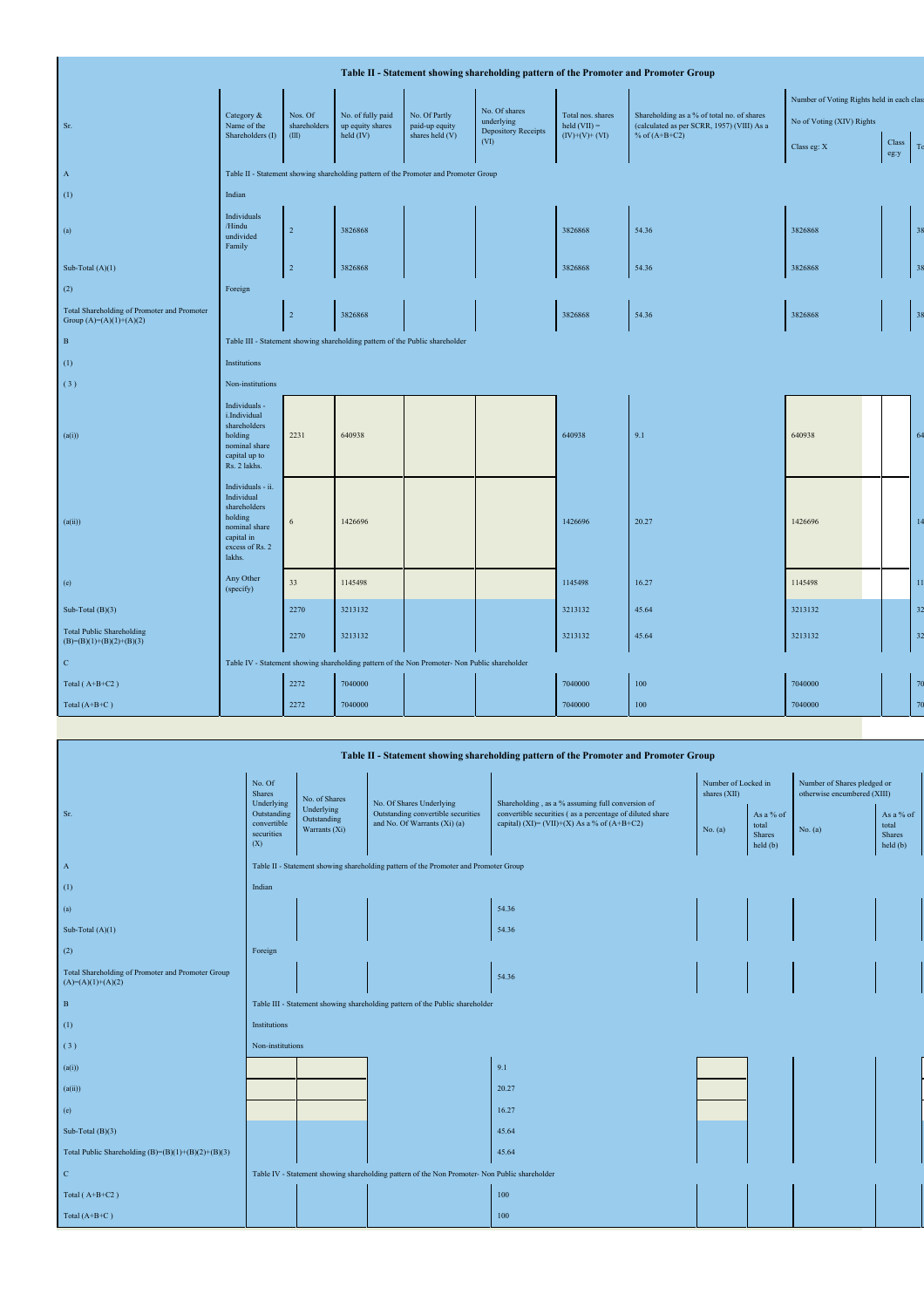| Table II - Statement showing shareholding pattern of the Promoter and Promoter Group |                                                                                                                        |                                                                              |                                       |                                                                                               |                                    |                                                  |                                                                                          |                           |                |                 |  |  |  |
|--------------------------------------------------------------------------------------|------------------------------------------------------------------------------------------------------------------------|------------------------------------------------------------------------------|---------------------------------------|-----------------------------------------------------------------------------------------------|------------------------------------|--------------------------------------------------|------------------------------------------------------------------------------------------|---------------------------|----------------|-----------------|--|--|--|
| Number of Voting Rights held in each class                                           |                                                                                                                        |                                                                              |                                       |                                                                                               |                                    |                                                  |                                                                                          |                           |                |                 |  |  |  |
| Sr.                                                                                  | Category &<br>Name of the                                                                                              | Nos. Of<br>shareholders                                                      | No. of fully paid<br>up equity shares | No. Of Partly<br>paid-up equity                                                               | No. Of shares<br>underlying        | Total nos. shares<br>$\text{held}(\text{VII}) =$ | Shareholding as a % of total no. of shares<br>(calculated as per SCRR, 1957) (VIII) As a | No of Voting (XIV) Rights |                |                 |  |  |  |
|                                                                                      | Shareholders (I)                                                                                                       | (III)                                                                        | held (IV)                             | shares held (V)                                                                               | <b>Depository Receipts</b><br>(VI) | $(IV)+(V)+(VI)$                                  | % of $(A+B+C2)$                                                                          | Class eg: X               | Class          | To              |  |  |  |
|                                                                                      |                                                                                                                        |                                                                              |                                       |                                                                                               |                                    |                                                  |                                                                                          |                           | $eg\!\!:\!\!y$ |                 |  |  |  |
| $\mathbf{A}$                                                                         | Table II - Statement showing shareholding pattern of the Promoter and Promoter Group                                   |                                                                              |                                       |                                                                                               |                                    |                                                  |                                                                                          |                           |                |                 |  |  |  |
| (1)                                                                                  | Indian                                                                                                                 |                                                                              |                                       |                                                                                               |                                    |                                                  |                                                                                          |                           |                |                 |  |  |  |
| (a)                                                                                  | Individuals<br>/Hindu<br>undivided<br>Family                                                                           | $\overline{2}$                                                               | 3826868                               |                                                                                               |                                    | 3826868                                          | 54.36                                                                                    | 3826868                   |                | 38              |  |  |  |
| Sub-Total $(A)(1)$                                                                   |                                                                                                                        | $\sqrt{2}$                                                                   | 3826868                               |                                                                                               |                                    | 3826868                                          | 54.36                                                                                    | 3826868                   |                | 38              |  |  |  |
| (2)                                                                                  | Foreign                                                                                                                |                                                                              |                                       |                                                                                               |                                    |                                                  |                                                                                          |                           |                |                 |  |  |  |
| Total Shareholding of Promoter and Promoter<br>Group $(A)=(A)(1)+(A)(2)$             |                                                                                                                        | $\sqrt{2}$                                                                   | 3826868                               |                                                                                               |                                    | 3826868                                          | 54.36                                                                                    | 3826868                   |                | 38              |  |  |  |
| $\,$ B                                                                               |                                                                                                                        | Table III - Statement showing shareholding pattern of the Public shareholder |                                       |                                                                                               |                                    |                                                  |                                                                                          |                           |                |                 |  |  |  |
| (1)                                                                                  | Institutions                                                                                                           |                                                                              |                                       |                                                                                               |                                    |                                                  |                                                                                          |                           |                |                 |  |  |  |
| (3)                                                                                  | Non-institutions                                                                                                       |                                                                              |                                       |                                                                                               |                                    |                                                  |                                                                                          |                           |                |                 |  |  |  |
| (a(i))                                                                               | Individuals -<br>i.Individual<br>shareholders<br>holding<br>nominal share<br>capital up to<br>Rs. 2 lakhs.             | 2231                                                                         | 640938                                |                                                                                               |                                    | 640938                                           | 9.1                                                                                      | 640938                    |                | 64              |  |  |  |
| (a(ii))                                                                              | Individuals - ii.<br>Individual<br>shareholders<br>holding<br>nominal share<br>capital in<br>excess of Rs. 2<br>lakhs. | 6                                                                            | 1426696                               |                                                                                               |                                    | 1426696                                          | 20.27                                                                                    | 1426696                   |                | 14              |  |  |  |
| (e)                                                                                  | Any Other<br>(specify)                                                                                                 | 33                                                                           | 1145498                               |                                                                                               |                                    | 1145498                                          | 16.27                                                                                    | 1145498                   |                | $\overline{11}$ |  |  |  |
| Sub-Total $(B)(3)$                                                                   |                                                                                                                        | 2270                                                                         | 3213132                               |                                                                                               |                                    | 3213132                                          | 45.64                                                                                    | 3213132                   |                | 32              |  |  |  |
| <b>Total Public Shareholding</b><br>$(B)=(B)(1)+(B)(2)+(B)(3)$                       |                                                                                                                        | 2270                                                                         | 3213132                               |                                                                                               |                                    | 3213132                                          | 45.64                                                                                    | 3213132                   |                | 32              |  |  |  |
| $\mathbf{C}$                                                                         |                                                                                                                        |                                                                              |                                       | Table IV - Statement showing shareholding pattern of the Non Promoter- Non Public shareholder |                                    |                                                  |                                                                                          |                           |                |                 |  |  |  |
| Total (A+B+C2)                                                                       |                                                                                                                        | 2272                                                                         | 7040000                               |                                                                                               |                                    | 7040000                                          | 100                                                                                      | 7040000                   |                | 70              |  |  |  |
| Total $(A+B+C)$                                                                      |                                                                                                                        | 2272                                                                         | 7040000                               |                                                                                               |                                    | 7040000                                          | 100                                                                                      | 7040000                   |                | 70              |  |  |  |

| Table II - Statement showing shareholding pattern of the Promoter and Promoter Group |                                                                                      |                                                                                                                  |                                                                                               |                                                                                                         |                                     |                                          |                                                            |                                                 |  |  |  |  |
|--------------------------------------------------------------------------------------|--------------------------------------------------------------------------------------|------------------------------------------------------------------------------------------------------------------|-----------------------------------------------------------------------------------------------|---------------------------------------------------------------------------------------------------------|-------------------------------------|------------------------------------------|------------------------------------------------------------|-------------------------------------------------|--|--|--|--|
|                                                                                      | No. Of<br><b>Shares</b><br>Underlying                                                | No. of Shares                                                                                                    | No. Of Shares Underlying                                                                      | Shareholding, as a % assuming full conversion of                                                        | Number of Locked in<br>shares (XII) |                                          | Number of Shares pledged or<br>otherwise encumbered (XIII) |                                                 |  |  |  |  |
| Sr.                                                                                  | Outstanding<br>convertible<br>securities<br>(X)                                      | Underlying<br>Outstanding convertible securities<br>Outstanding<br>and No. Of Warrants (Xi) (a)<br>Warrants (Xi) |                                                                                               | convertible securities (as a percentage of diluted share<br>capital) (XI)= (VII)+(X) As a % of (A+B+C2) | No. $(a)$                           | As a % of<br>total<br>Shares<br>held (b) | No. $(a)$                                                  | As a % of<br>total<br><b>Shares</b><br>held (b) |  |  |  |  |
| $\mathbf{A}$                                                                         | Table II - Statement showing shareholding pattern of the Promoter and Promoter Group |                                                                                                                  |                                                                                               |                                                                                                         |                                     |                                          |                                                            |                                                 |  |  |  |  |
| (1)                                                                                  | Indian                                                                               |                                                                                                                  |                                                                                               |                                                                                                         |                                     |                                          |                                                            |                                                 |  |  |  |  |
| (a)                                                                                  |                                                                                      |                                                                                                                  |                                                                                               | 54.36                                                                                                   |                                     |                                          |                                                            |                                                 |  |  |  |  |
| Sub-Total $(A)(1)$                                                                   |                                                                                      |                                                                                                                  |                                                                                               | 54.36                                                                                                   |                                     |                                          |                                                            |                                                 |  |  |  |  |
| (2)                                                                                  | Foreign                                                                              |                                                                                                                  |                                                                                               |                                                                                                         |                                     |                                          |                                                            |                                                 |  |  |  |  |
| Total Shareholding of Promoter and Promoter Group<br>$(A)=(A)(1)+(A)(2)$             |                                                                                      |                                                                                                                  |                                                                                               | 54.36                                                                                                   |                                     |                                          |                                                            |                                                 |  |  |  |  |
| $\, {\bf B}$                                                                         |                                                                                      |                                                                                                                  | Table III - Statement showing shareholding pattern of the Public shareholder                  |                                                                                                         |                                     |                                          |                                                            |                                                 |  |  |  |  |
| (1)                                                                                  | Institutions                                                                         |                                                                                                                  |                                                                                               |                                                                                                         |                                     |                                          |                                                            |                                                 |  |  |  |  |
| (3)                                                                                  | Non-institutions                                                                     |                                                                                                                  |                                                                                               |                                                                                                         |                                     |                                          |                                                            |                                                 |  |  |  |  |
| (a(i))                                                                               |                                                                                      |                                                                                                                  |                                                                                               | 9.1                                                                                                     |                                     |                                          |                                                            |                                                 |  |  |  |  |
| (a(ii))                                                                              |                                                                                      |                                                                                                                  |                                                                                               | 20.27                                                                                                   |                                     |                                          |                                                            |                                                 |  |  |  |  |
| (e)                                                                                  |                                                                                      |                                                                                                                  |                                                                                               | 16.27                                                                                                   |                                     |                                          |                                                            |                                                 |  |  |  |  |
| Sub-Total $(B)(3)$                                                                   |                                                                                      |                                                                                                                  |                                                                                               | 45.64                                                                                                   |                                     |                                          |                                                            |                                                 |  |  |  |  |
| Total Public Shareholding $(B)=(B)(1)+(B)(2)+(B)(3)$                                 |                                                                                      |                                                                                                                  |                                                                                               | 45.64                                                                                                   |                                     |                                          |                                                            |                                                 |  |  |  |  |
| $\mathbf{C}$                                                                         |                                                                                      |                                                                                                                  | Table IV - Statement showing shareholding pattern of the Non Promoter- Non Public shareholder |                                                                                                         |                                     |                                          |                                                            |                                                 |  |  |  |  |
| Total $(A+B+C2)$                                                                     |                                                                                      |                                                                                                                  |                                                                                               | 100                                                                                                     |                                     |                                          |                                                            |                                                 |  |  |  |  |
| Total $(A+B+C)$                                                                      |                                                                                      |                                                                                                                  |                                                                                               | 100                                                                                                     |                                     |                                          |                                                            |                                                 |  |  |  |  |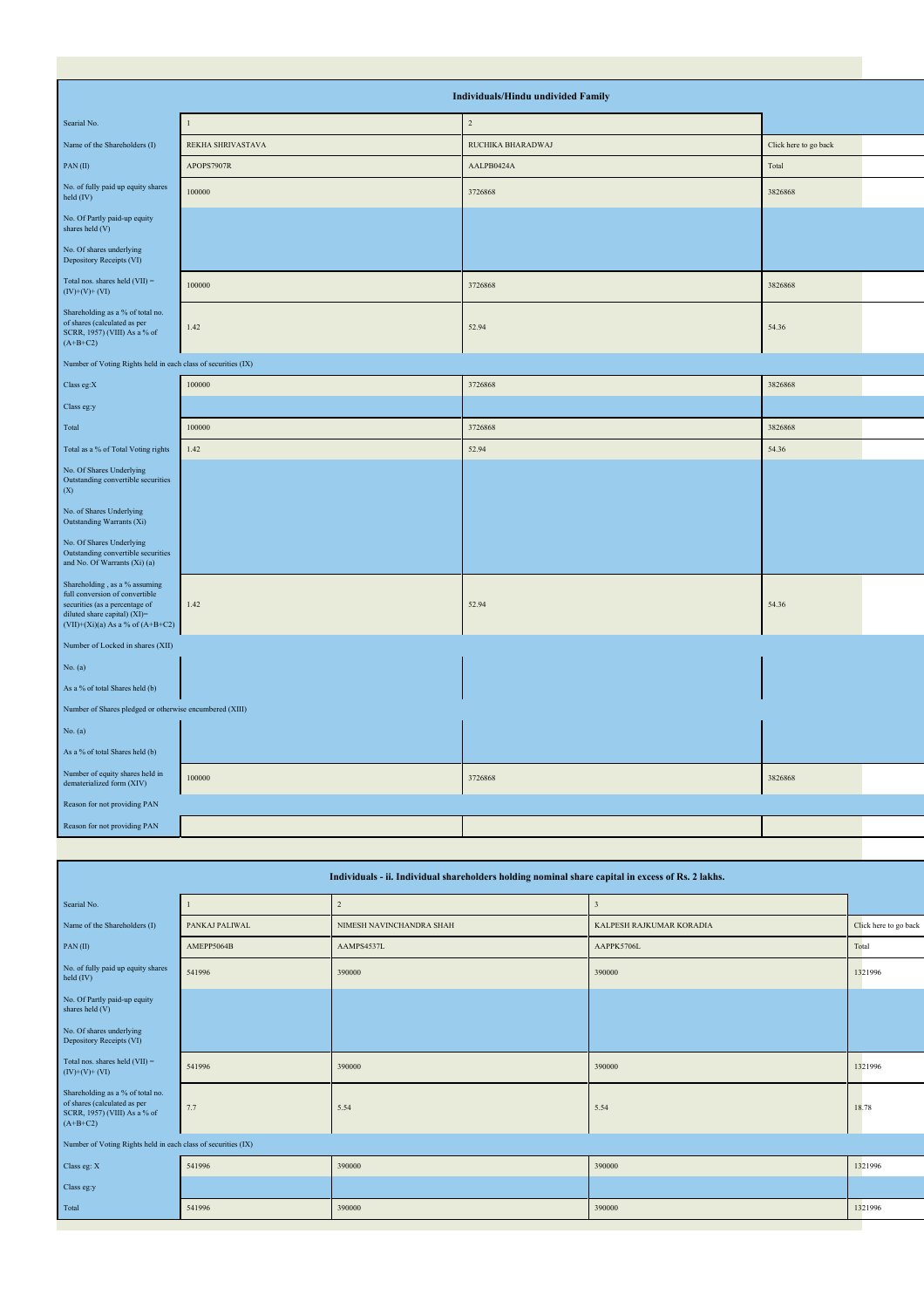|                                                                                                                                                                           |                   | Individuals/Hindu undivided Family |                       |  |
|---------------------------------------------------------------------------------------------------------------------------------------------------------------------------|-------------------|------------------------------------|-----------------------|--|
| Searial No.                                                                                                                                                               |                   | $\overline{c}$                     |                       |  |
| Name of the Shareholders (I)                                                                                                                                              | REKHA SHRIVASTAVA | RUCHIKA BHARADWAJ                  | Click here to go back |  |
| PAN(II)                                                                                                                                                                   | APOPS7907R        | AALPB0424A                         | Total                 |  |
| No. of fully paid up equity shares<br>held (IV)                                                                                                                           | 100000            | 3726868                            | 3826868               |  |
| No. Of Partly paid-up equity<br>shares held (V)                                                                                                                           |                   |                                    |                       |  |
| No. Of shares underlying<br>Depository Receipts (VI)                                                                                                                      |                   |                                    |                       |  |
| Total nos. shares held $(VII)$ =<br>$(IV)+(V)+(VI)$                                                                                                                       | 100000            | 3726868                            | 3826868               |  |
| Shareholding as a % of total no.<br>of shares (calculated as per<br>SCRR, 1957) (VIII) As a % of<br>$(A+B+C2)$                                                            | 1.42              | 52.94                              | 54.36                 |  |
| Number of Voting Rights held in each class of securities (IX)                                                                                                             |                   |                                    |                       |  |
| Class eg: $X$                                                                                                                                                             | 100000            | 3726868                            | 3826868               |  |
| Class eg:y                                                                                                                                                                |                   |                                    |                       |  |
| Total                                                                                                                                                                     | 100000            | 3726868                            | 3826868               |  |
| Total as a % of Total Voting rights                                                                                                                                       | 1.42              | 52.94                              | 54.36                 |  |
| No. Of Shares Underlying<br>Outstanding convertible securities<br>(X)                                                                                                     |                   |                                    |                       |  |
| No. of Shares Underlying<br>Outstanding Warrants (Xi)                                                                                                                     |                   |                                    |                       |  |
| No. Of Shares Underlying<br>Outstanding convertible securities<br>and No. Of Warrants (Xi) (a)                                                                            |                   |                                    |                       |  |
| Shareholding, as a % assuming<br>full conversion of convertible<br>securities (as a percentage of<br>diluted share capital) (XI)=<br>$(VII)+(Xi)(a)$ As a % of $(A+B+C2)$ | 1.42              | 52.94                              | 54.36                 |  |
| Number of Locked in shares (XII)                                                                                                                                          |                   |                                    |                       |  |
| No. (a)                                                                                                                                                                   |                   |                                    |                       |  |
| As a % of total Shares held (b)                                                                                                                                           |                   |                                    |                       |  |
| Number of Shares pledged or otherwise encumbered (XIII)                                                                                                                   |                   |                                    |                       |  |
| No. (a)                                                                                                                                                                   |                   |                                    |                       |  |
| As a % of total Shares held (b)                                                                                                                                           |                   |                                    |                       |  |
| Number of equity shares held in<br>dematerialized form (XIV)                                                                                                              | 100000            | 3726868                            | 3826868               |  |
| Reason for not providing PAN                                                                                                                                              |                   |                                    |                       |  |
| Reason for not providing PAN                                                                                                                                              |                   |                                    |                       |  |

| Individuals - ii. Individual shareholders holding nominal share capital in excess of Rs. 2 lakhs.              |                |                          |                          |                       |  |  |  |  |  |  |  |
|----------------------------------------------------------------------------------------------------------------|----------------|--------------------------|--------------------------|-----------------------|--|--|--|--|--|--|--|
| Searial No.                                                                                                    |                | $\overline{2}$           | $\overline{\mathbf{3}}$  |                       |  |  |  |  |  |  |  |
| Name of the Shareholders (I)                                                                                   | PANKAJ PALIWAL | NIMESH NAVINCHANDRA SHAH | KALPESH RAJKUMAR KORADIA | Click here to go back |  |  |  |  |  |  |  |
| PAN(II)                                                                                                        | AMEPP5064B     | AAMPS4537L               | AAPPK5706L               | Total                 |  |  |  |  |  |  |  |
| No. of fully paid up equity shares<br>held $(IV)$                                                              | 541996         | 390000                   | 390000                   | 1321996               |  |  |  |  |  |  |  |
| No. Of Partly paid-up equity<br>shares held (V)                                                                |                |                          |                          |                       |  |  |  |  |  |  |  |
| No. Of shares underlying<br>Depository Receipts (VI)                                                           |                |                          |                          |                       |  |  |  |  |  |  |  |
| Total nos. shares held $(VII)$ =<br>$(IV)+(V)+(VI)$                                                            | 541996         | 390000                   | 390000                   | 1321996               |  |  |  |  |  |  |  |
| Shareholding as a % of total no.<br>of shares (calculated as per<br>SCRR, 1957) (VIII) As a % of<br>$(A+B+C2)$ | 7.7            | 5.54                     | 5.54                     | 18.78                 |  |  |  |  |  |  |  |
| Number of Voting Rights held in each class of securities (IX)                                                  |                |                          |                          |                       |  |  |  |  |  |  |  |
| Class eg: X                                                                                                    | 541996         | 390000                   | 390000                   | 1321996               |  |  |  |  |  |  |  |
| Class eg:y                                                                                                     |                |                          |                          |                       |  |  |  |  |  |  |  |
| Total                                                                                                          | 541996         | 390000                   | 390000                   | 1321996               |  |  |  |  |  |  |  |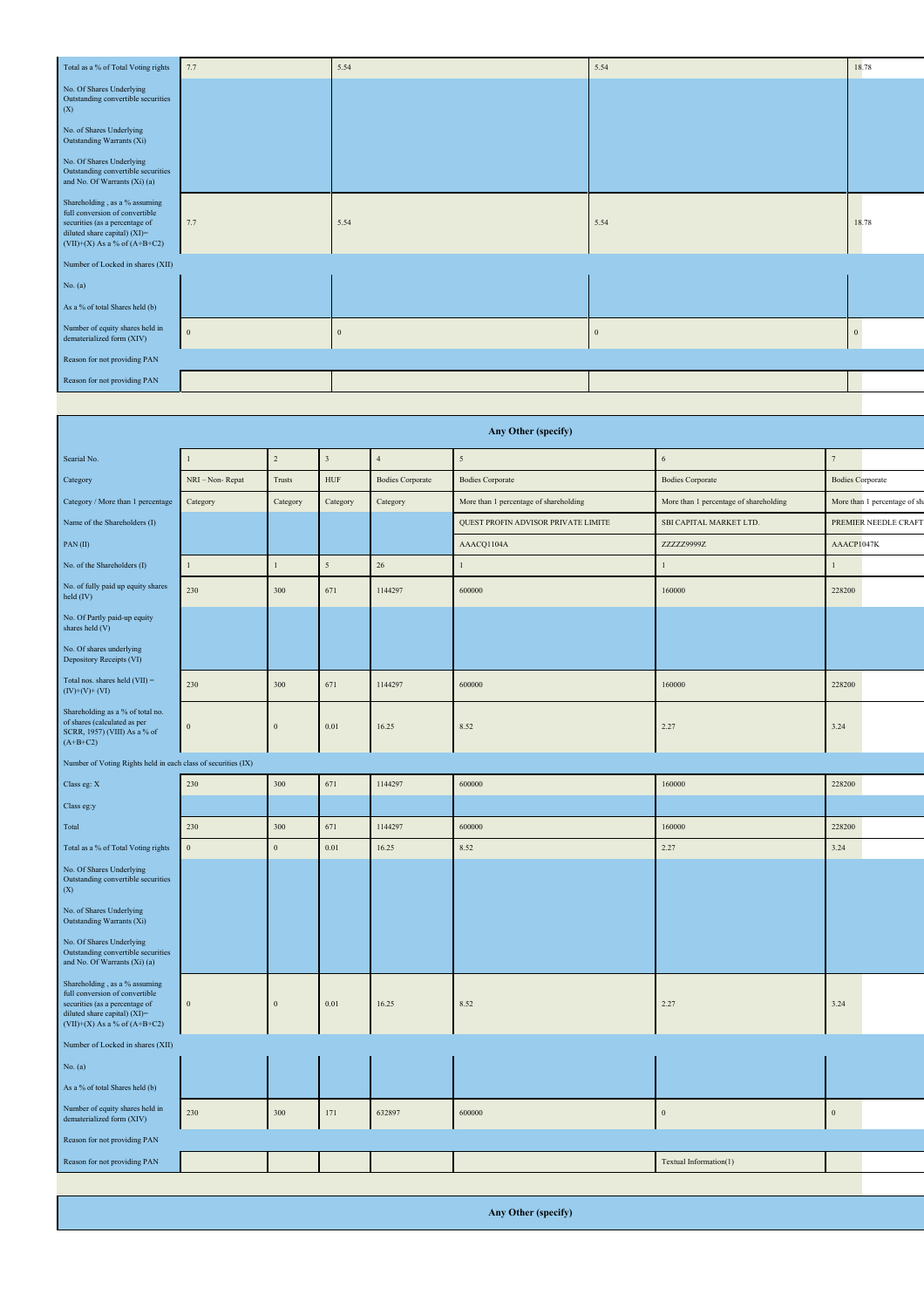| Total as a % of Total Voting rights                                                                                                                                   | 7.7              | 5.54     | 5.54           | 18.78 |
|-----------------------------------------------------------------------------------------------------------------------------------------------------------------------|------------------|----------|----------------|-------|
| No. Of Shares Underlying<br>Outstanding convertible securities<br>(X)                                                                                                 |                  |          |                |       |
| No. of Shares Underlying<br>Outstanding Warrants (Xi)                                                                                                                 |                  |          |                |       |
| No. Of Shares Underlying<br>Outstanding convertible securities<br>and No. Of Warrants (Xi) (a)                                                                        |                  |          |                |       |
| Shareholding, as a % assuming<br>full conversion of convertible<br>securities (as a percentage of<br>diluted share capital) (XI)=<br>$(VII)+(X)$ As a % of $(A+B+C2)$ | 7.7              | 5.54     | 5.54           | 18.78 |
| Number of Locked in shares (XII)                                                                                                                                      |                  |          |                |       |
| No. (a)                                                                                                                                                               |                  |          |                |       |
| As a % of total Shares held (b)                                                                                                                                       |                  |          |                |       |
| Number of equity shares held in<br>dematerialized form (XIV)                                                                                                          | $\boldsymbol{0}$ | $\bf{0}$ | $\overline{0}$ |       |
| Reason for not providing PAN                                                                                                                                          |                  |          |                |       |
| Reason for not providing PAN                                                                                                                                          |                  |          |                |       |
|                                                                                                                                                                       |                  |          |                |       |

| Any Other (specify)                                                                                                                                                   |               |                  |                |                         |                                        |                                        |                               |  |  |  |  |  |
|-----------------------------------------------------------------------------------------------------------------------------------------------------------------------|---------------|------------------|----------------|-------------------------|----------------------------------------|----------------------------------------|-------------------------------|--|--|--|--|--|
| Searial No.                                                                                                                                                           | $\mathbf{1}$  | $\sqrt{2}$       | $\sqrt{3}$     | $\sqrt{4}$              | $\sqrt{5}$                             | $\boldsymbol{6}$                       | $\tau$                        |  |  |  |  |  |
| Category                                                                                                                                                              | NRI-Non-Repat | Trusts           | <b>HUF</b>     | <b>Bodies Corporate</b> | <b>Bodies Corporate</b>                | <b>Bodies Corporate</b>                | <b>Bodies Corporate</b>       |  |  |  |  |  |
| Category / More than 1 percentage                                                                                                                                     | Category      | Category         | Category       | Category                | More than 1 percentage of shareholding | More than 1 percentage of shareholding | More than 1 percentage of sha |  |  |  |  |  |
| Name of the Shareholders (I)                                                                                                                                          |               |                  |                |                         | QUEST PROFIN ADVISOR PRIVATE LIMITE    | SBI CAPITAL MARKET LTD.                | PREMIER NEEDLE CRAFT          |  |  |  |  |  |
| PAN(II)                                                                                                                                                               |               |                  |                |                         | AAACQ1104A                             | ZZZZZ9999Z                             | AAACP1047K                    |  |  |  |  |  |
| No. of the Shareholders (I)                                                                                                                                           | $\mathbf{1}$  | $\mathbf{1}$     | $\overline{5}$ | 26                      | $\mathbf{1}$                           | $\mathbf{1}$                           | $\mathbf{1}$                  |  |  |  |  |  |
| No. of fully paid up equity shares<br>held (IV)                                                                                                                       | 230           | 300              | 671            | 1144297                 | 600000                                 | 160000                                 | 228200                        |  |  |  |  |  |
| No. Of Partly paid-up equity<br>shares held (V)                                                                                                                       |               |                  |                |                         |                                        |                                        |                               |  |  |  |  |  |
| No. Of shares underlying<br>Depository Receipts (VI)                                                                                                                  |               |                  |                |                         |                                        |                                        |                               |  |  |  |  |  |
| Total nos. shares held $(VII)$ =<br>$(IV)+(V)+(VI)$                                                                                                                   | 230           | 300              | 671            | 1144297                 | 600000                                 | 160000                                 | 228200                        |  |  |  |  |  |
| Shareholding as a % of total no.<br>of shares (calculated as per<br>SCRR, 1957) (VIII) As a % of<br>$(A+B+C2)$                                                        | $\,0\,$       | $\overline{0}$   | $0.01\,$       | 16.25                   | 8.52                                   | 2.27                                   | 3.24                          |  |  |  |  |  |
| Number of Voting Rights held in each class of securities (IX)                                                                                                         |               |                  |                |                         |                                        |                                        |                               |  |  |  |  |  |
| Class eg: X                                                                                                                                                           | 230           | 300              | 671            | 1144297                 | 600000                                 | 160000                                 | 228200                        |  |  |  |  |  |
| Class eg:y                                                                                                                                                            |               |                  |                |                         |                                        |                                        |                               |  |  |  |  |  |
| Total                                                                                                                                                                 | 230           | 300              | 671            | 1144297                 | 600000                                 | 160000                                 | 228200                        |  |  |  |  |  |
| Total as a % of Total Voting rights                                                                                                                                   | $\,0\,$       | $\boldsymbol{0}$ | $0.01\,$       | 16.25                   | 8.52                                   | 2.27                                   | 3.24                          |  |  |  |  |  |
| No. Of Shares Underlying<br>Outstanding convertible securities<br>(X)                                                                                                 |               |                  |                |                         |                                        |                                        |                               |  |  |  |  |  |
| No. of Shares Underlying<br>Outstanding Warrants (Xi)                                                                                                                 |               |                  |                |                         |                                        |                                        |                               |  |  |  |  |  |
| No. Of Shares Underlying<br>Outstanding convertible securities<br>and No. Of Warrants (Xi) (a)                                                                        |               |                  |                |                         |                                        |                                        |                               |  |  |  |  |  |
| Shareholding, as a % assuming<br>full conversion of convertible<br>securities (as a percentage of<br>diluted share capital) (XI)=<br>$(VII)+(X)$ As a % of $(A+B+C2)$ | $\,0\,$       | $\overline{0}$   | $0.01\,$       | 16.25                   | 8.52                                   | 2.27                                   | 3.24                          |  |  |  |  |  |
| Number of Locked in shares (XII)                                                                                                                                      |               |                  |                |                         |                                        |                                        |                               |  |  |  |  |  |
| No. (a)                                                                                                                                                               |               |                  |                |                         |                                        |                                        |                               |  |  |  |  |  |
| As a % of total Shares held (b)                                                                                                                                       |               |                  |                |                         |                                        |                                        |                               |  |  |  |  |  |
| Number of equity shares held in<br>dematerialized form (XIV)                                                                                                          | 230           | 300              | 171            | 632897                  | 600000                                 | $\mathbf{0}$                           | $\boldsymbol{0}$              |  |  |  |  |  |
| Reason for not providing PAN                                                                                                                                          |               |                  |                |                         |                                        |                                        |                               |  |  |  |  |  |
| Reason for not providing PAN                                                                                                                                          |               |                  |                |                         |                                        | Textual Information(1)                 |                               |  |  |  |  |  |
|                                                                                                                                                                       |               |                  |                |                         |                                        |                                        |                               |  |  |  |  |  |

**Any Other (specify)**